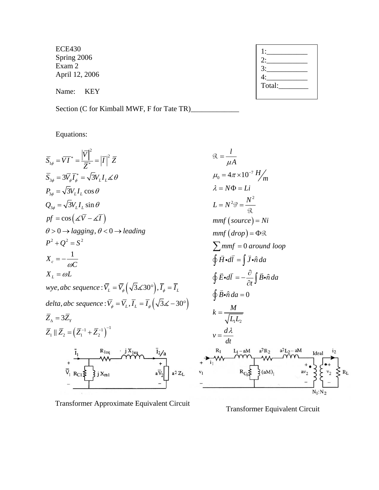ECE430 Spring 2006 Exam 2 April 12, 2006

Name: KEY

Section (C for Kimball MWF, F for Tate TR)

Equations:



Transformer Approximate Equivalent Circuit

Transformer Equivalent Circuit

| Total: |  |
|--------|--|
|        |  |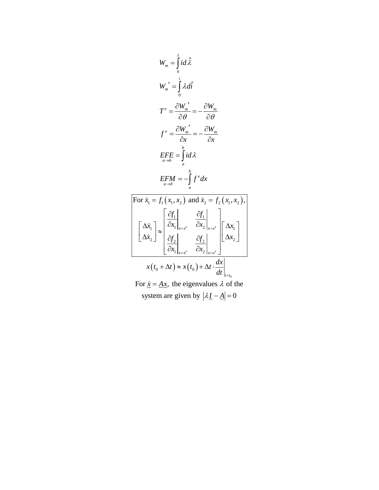$$
W_{m} = \int_{0}^{\lambda} i d\hat{\lambda}
$$
  
\n
$$
W_{m}' = \int_{0}^{\lambda} \lambda d\hat{i}
$$
  
\n
$$
T^{e} = \frac{\partial W_{m}'}{\partial \theta} = -\frac{\partial W_{m}}{\partial \theta}
$$
  
\n
$$
f^{e} = \frac{\partial W_{m}'}{\partial x} = -\frac{\partial W_{m}}{\partial x}
$$
  
\n
$$
EFE = \int_{a}^{b} i d\lambda
$$
  
\n
$$
EFM = -\int_{a}^{b} f^{e} dx
$$
  
\nFor  $\dot{x}_{1} = f_{1}(x_{1}, x_{2})$  and  $\dot{x}_{2} = f_{2}(x_{1}, x_{2})$ ,  
\n
$$
\left[\Delta \dot{x}_{1}\right] \approx \left[\frac{\partial f_{1}}{\partial x_{1}}\right]_{x=x^{e}} \left[\frac{\partial f_{1}}{\partial x_{2}}\right]_{x=x^{e}} \left[\Delta x_{1}\right]
$$
  
\n
$$
x(t_{0} + \Delta t) \approx x(t_{0}) + \Delta t \cdot \frac{dx}{dt}\right]_{t=t_{0}}
$$

For  $\dot{x} = Ax$ , the eigenvalues  $\lambda$  of the system are given by  $|\lambda \underline{I} - \underline{A}| = 0$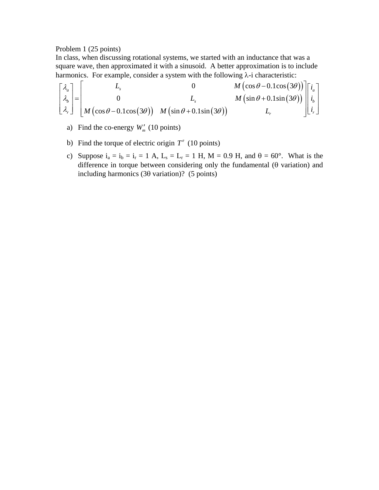## Problem 1 (25 points)

In class, when discussing rotational systems, we started with an inductance that was a square wave, then approximated it with a sinusoid. A better approximation is to include harmonics. For example, consider a system with the following  $\lambda$ -i characteristic:

$$
\begin{bmatrix} \lambda_a \\ \lambda_b \\ \lambda_r \end{bmatrix} = \begin{bmatrix} L_s & 0 & M\left(\cos\theta - 0.1\cos(3\theta)\right) \\ 0 & L_s & M\left(\sin\theta + 0.1\sin(3\theta)\right) \\ M\left(\cos\theta - 0.1\cos(3\theta)\right) & M\left(\sin\theta + 0.1\sin(3\theta)\right) & L_r \end{bmatrix} \begin{bmatrix} i_a \\ i_b \\ i_r \end{bmatrix}
$$

- a) Find the co-energy  $W'_m$  (10 points)
- b) Find the torque of electric origin  $T^e$  (10 points)
- c) Suppose  $i_a = i_b = i_r = 1$  A,  $L_s = L_r = 1$  H,  $M = 0.9$  H, and  $\theta = 60^\circ$ . What is the difference in torque between considering only the fundamental (θ variation) and including harmonics (3θ variation)? (5 points)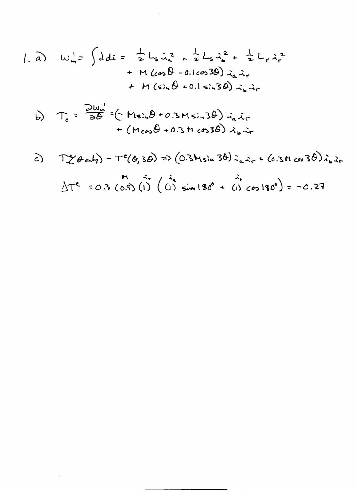1. a) 
$$
W_{m}^{\dagger} = \int ddu = \frac{1}{2} L_{s} \dot{u}_{s}^{2} + \frac{1}{2} L_{s} \dot{u}_{s}^{2} + \frac{1}{2} L_{r} \dot{u}_{r}^{2} + M(\cos\theta - 0.1\cos 3\theta) \dot{u}_{a} \dot{u}_{r} + M(\sin\theta + 0.1\sin 3\theta) \dot{u}_{a} \dot{u}_{r}
$$

 $\mathcal{L}$ 

b) 
$$
T_e = \frac{\partial w_e}{\partial \theta} = (-M_s)_e \theta + 0.3M_s i_0 3\theta) i_a \dot{x}_r + (M_{cos}\theta + 0.3M_{cos}\theta) i_b \dot{x}_r
$$

 $\bar{1}$ 

c) 
$$
T^{e}_{c}(\theta_{0}d_{1}) - T^{e}(\theta_{0}3\theta) \Rightarrow (0.3M\sin 3\theta) \hat{z}_{a}\hat{z}_{r} + (0.3M\cos 3\theta) \hat{z}_{a}\hat{z}_{r}
$$
  

$$
\Delta T^{e} = 0.3 (0.3) (1) (1) \sin 130^{\circ} + (1) \cos 130^{\circ}) = -0.27
$$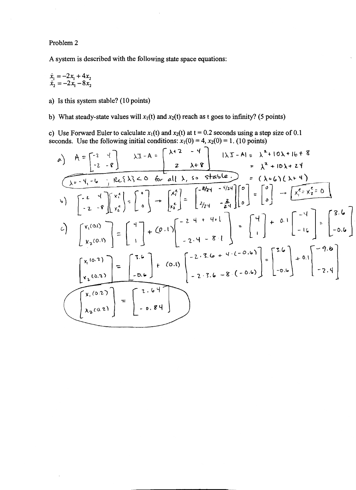Problem 2

A system is described with the following state space equations:

$$
\begin{array}{c}\n\dot{x}_1 = -2x_1 + 4x_2 \\
\dot{x}_2 = -2x_1 - 8x_2\n\end{array}
$$

a) Is this system stable? (10 points)

b) What steady-state values will  $x_1(t)$  and  $x_2(t)$  reach as t goes to infinity? (5 points)

c) Use Forward Euler to calculate  $x_1(t)$  and  $x_2(t)$  at  $t = 0.2$  seconds using a step size of 0.1 seconds. Use the following initial conditions:  $x_1(0) = 4$ ,  $x_2(0) = 1$ . (10 points)

a) 
$$
A = \begin{bmatrix} -2 & 4 \ -2 & -8 \end{bmatrix}
$$
  $\lambda I - A = \begin{bmatrix} \lambda + 2 & -4 \ 2 & \lambda + 8 \end{bmatrix}$   $|\lambda I - A| = \lambda^2 + 10\lambda + 16 + 8$   
\n
$$
= \lambda^2 + 10\lambda + 24
$$
\n
$$
\begin{bmatrix} -2 & -9 \ -2 & -9 \end{bmatrix} \begin{bmatrix} x_1^2 \ x_2^2 \end{bmatrix} = \begin{bmatrix} 0 \ 0 \end{bmatrix} \rightarrow \begin{bmatrix} x_1^2 \ x_2^2 \end{bmatrix} = \begin{bmatrix} -8/24 & -4/24 \ 2/24 & -\frac{2}{24} \end{bmatrix} \begin{bmatrix} 0 \ 0 \end{bmatrix} = \begin{bmatrix} 0 \ 0 \end{bmatrix} \rightarrow \begin{bmatrix} x_1^2 \ x_2^2 \end{bmatrix} = 0
$$
\nb)  $\begin{bmatrix} -2 & 4 \ -2 & -9 \end{bmatrix} \begin{bmatrix} x_1^2 \ x_2^2 \end{bmatrix} = \begin{bmatrix} 0 \ 0 \end{bmatrix} \rightarrow \begin{bmatrix} x_1^2 \ x_2^2 \end{bmatrix} = \begin{bmatrix} 0 \ 0 \end{bmatrix} \rightarrow \begin{bmatrix} x_1^2 \ x_2^2 \end{bmatrix} = 0$ \nc)  $\begin{bmatrix} x_1(0.1) \ x_2(0.1) \end{bmatrix} = \begin{bmatrix} 1 \ 1 \end{bmatrix} + (0.1) \begin{bmatrix} -2 + 4 + 4 + 1 \ -2 + 4 - 8 + 1 \end{bmatrix} = \begin{bmatrix} 4 \ 1 \end{bmatrix} + 0.1 \begin{bmatrix} -4 \ -16 \end{bmatrix} = \begin{bmatrix} 3.6 \ -0.6 \end{bmatrix}$ \n
$$
\begin{bmatrix} x_1(0.7) \ x_2(0.2) \ x_2(0.2) \end{bmatrix} = \begin{bmatrix} 3.6 \ -0.6 \end{bmatrix} + (0.1) \begin{bmatrix} -2.3.6 - 8.(-0.6) \ -2.3.6 - 8.(-0.6) \end{bmatrix} = \begin{bmatrix} 5.6 \ -0.6 \end{bmatrix} +
$$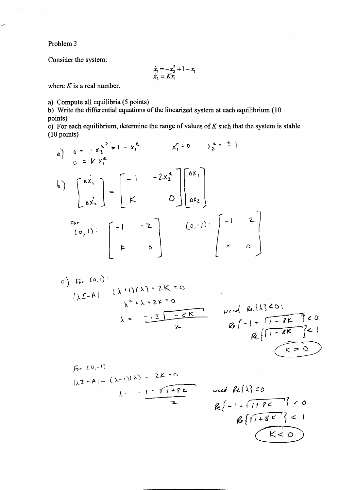Problem 3

Consider the system:

$$
\begin{array}{c}\n\dot{x}_1 = -x_2^2 + 1 - x_1 \\
\dot{x}_2 = Kx_1\n\end{array}
$$

where  $K$  is a real number.

a) Compute all equilibria (5 points)

b) Write the differential equations of the linearized system at each equilibrium (10 points)

c) For each equilibrium, determine the range of values of  $K$  such that the system is stable  $(10 \text{ points})$ 

a) 
$$
b = -x_2^{e^2} \times 1 - x_1^{e}
$$
  $x_1^{e} = 0$   $x_2^{e} = \pm 1$   
\nb)  $\begin{bmatrix} ax_1 \\ ax_2 \end{bmatrix} = \begin{bmatrix} -1 & -2x_2^{e} \\ K & 0 \end{bmatrix} \begin{bmatrix} ax_1 \\ ax_2 \end{bmatrix}$   
\nFor  
\n $(0,1)$ :  $\begin{bmatrix} -1 & -2 \\ k & 0 \end{bmatrix} \begin{bmatrix} 0,1 \end{bmatrix} \begin{bmatrix} -1 & 2 \\ k & 0 \end{bmatrix}$ 

c) 
$$
F_{r}(0,1)
$$
  
\n $(\lambda I-A)^{2} (\lambda+1)(\lambda) + 2K=0$   
\n $\lambda = \frac{-1 \pm 1 - 8K}{2}$   $Re\{-1 + \frac{F_{r}(3)}{2} \}$   
\n $Re\{\frac{-1 + 1 - 8K}{2}\}$   $Re\{-1 + \frac{F_{r}(3)}{2} \}$ 

For 
$$
CO_{1}=1
$$
  
\n $|\lambda I - A| = (\lambda + 1)(\lambda) - 2K = 0$   
\n $\lambda = -1 \pm \sqrt{1 + 8K}$  Need  
\n $Re\{-$ 

Need Re[1] 60:

\n
$$
Re\{-1 + \frac{1 + PE}{1 + 8E}\} < 0
$$
\n
$$
Re\{\frac{1 + 8E}{1 + 8E}\} < 1
$$
\n
$$
K < 0
$$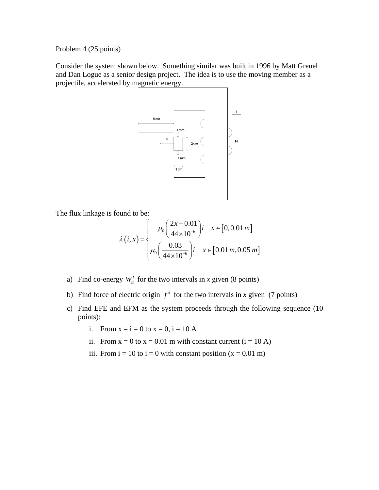Problem 4 (25 points)

Consider the system shown below. Something similar was built in 1996 by Matt Greuel and Dan Logue as a senior design project. The idea is to use the moving member as a projectile, accelerated by magnetic energy.



The flux linkage is found to be:

$$
\lambda(i,x) = \begin{cases}\n\mu_0 \left( \frac{2x + 0.01}{44 \times 10^{-6}} \right) i & x \in [0, 0.01 \, m] \\
\mu_0 \left( \frac{0.03}{44 \times 10^{-6}} \right) i & x \in [0.01 \, m, 0.05 \, m]\n\end{cases}
$$

- a) Find co-energy  $W'_m$  for the two intervals in *x* given (8 points)
- b) Find force of electric origin  $f^e$  for the two intervals in *x* given (7 points)
- c) Find EFE and EFM as the system proceeds through the following sequence (10 points):
	- i. From  $x = i = 0$  to  $x = 0$ ,  $i = 10$  A
	- ii. From  $x = 0$  to  $x = 0.01$  m with constant current (i = 10 A)
	- iii. From  $i = 10$  to  $i = 0$  with constant position  $(x = 0.01$  m)